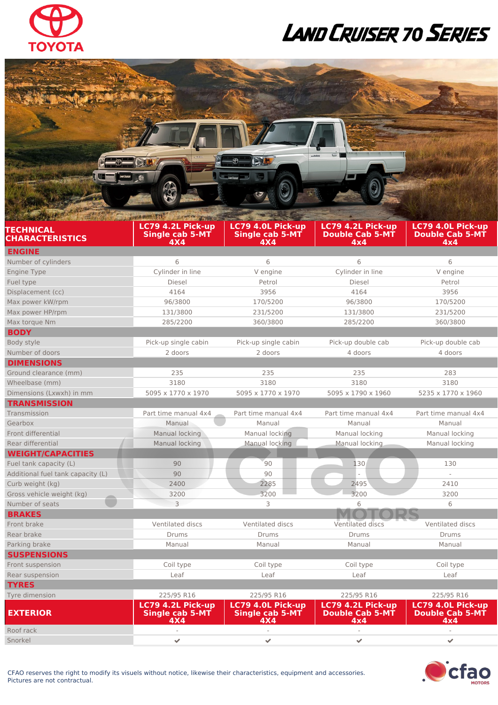

## LAND CRUISER 70 SERIES

|                                                 | PAYA PHYS. TELL<br>AFATT ATION                     |                                                                 |                                                    |                                                    |
|-------------------------------------------------|----------------------------------------------------|-----------------------------------------------------------------|----------------------------------------------------|----------------------------------------------------|
| <b>TECHNICAL</b>                                | LC79 4.2L Pick-up                                  | LC79 4.0L Pick-up                                               | LC79 4.2L Pick-up                                  | LC79 4.0L Pick-up                                  |
| <b>CHARACTERISTICS</b>                          | <b>Single cab 5-MT</b><br>4X4                      | <b>Single cab 5-MT</b><br>4X4                                   | <b>Double Cab 5-MT</b><br>4x4                      | <b>Double Cab 5-MT</b><br>4x4                      |
| <b>ENGINE</b>                                   |                                                    |                                                                 |                                                    |                                                    |
| Number of cylinders                             | 6                                                  | 6                                                               | 6                                                  | 6                                                  |
| <b>Engine Type</b>                              | Cylinder in line                                   | V engine                                                        | Cylinder in line                                   | V engine                                           |
| Fuel type                                       | Diesel                                             | Petrol                                                          | Diesel                                             | Petrol                                             |
| Displacement (cc)                               | 4164                                               | 3956                                                            | 4164                                               | 3956                                               |
| Max power kW/rpm                                | 96/3800                                            | 170/5200                                                        | 96/3800                                            | 170/5200                                           |
| Max power HP/rpm                                | 131/3800                                           | 231/5200                                                        | 131/3800                                           | 231/5200                                           |
| Max torque Nm                                   | 285/2200                                           | 360/3800                                                        | 285/2200                                           | 360/3800                                           |
| <b>BODY</b>                                     |                                                    |                                                                 |                                                    |                                                    |
| Body style                                      | Pick-up single cabin                               | Pick-up single cabin                                            | Pick-up double cab                                 | Pick-up double cab                                 |
| Number of doors                                 | 2 doors                                            | 2 doors                                                         | 4 doors                                            | 4 doors                                            |
| <b>DIMENSIONS</b>                               |                                                    |                                                                 |                                                    |                                                    |
| Ground clearance (mm)                           | 235                                                | 235                                                             | 235                                                | 283                                                |
| Wheelbase (mm)                                  | 3180                                               | 3180                                                            | 3180                                               | 3180                                               |
| Dimensions (Lxwxh) in mm                        | 5095 x 1770 x 1970                                 | 5095 x 1770 x 1970                                              | 5095 x 1790 x 1960                                 | 5235 x 1770 x 1960                                 |
| <b>TRANSMISSION</b>                             |                                                    |                                                                 |                                                    |                                                    |
| Transmission                                    | Part time manual 4x4                               | Part time manual 4x4                                            | Part time manual 4x4                               | Part time manual 4x4                               |
| Gearbox                                         | Manual                                             | Manual                                                          | Manual                                             | Manual                                             |
| Front differential                              | Manual locking                                     | Manual locking                                                  | Manual locking                                     | Manual locking                                     |
| Rear differential                               | Manual locking                                     | Manual locking                                                  | Manual locking                                     | Manual locking                                     |
| <b>WEIGHT/CAPACITIES</b>                        |                                                    |                                                                 |                                                    |                                                    |
| Fuel tank capacity (L)                          | 90                                                 | 90                                                              | 130                                                | 130                                                |
| Additional fuel tank capacity (L)               | 90                                                 | 90                                                              |                                                    |                                                    |
| Curb weight (kg)                                | 2400                                               | 2285                                                            | 2495                                               | 2410                                               |
| Gross vehicle weight (kg)<br>$\hat{\mathbf{r}}$ | 3200                                               | 3200                                                            | 3200                                               | 3200                                               |
| Number of seats                                 | 3                                                  | 3                                                               | 6                                                  | 6                                                  |
| <b>BRAKES</b>                                   |                                                    |                                                                 |                                                    |                                                    |
| Front brake                                     | Ventilated discs                                   | Ventilated discs                                                | Ventilated discs                                   | Ventilated discs                                   |
| Rear brake                                      | Drums                                              | <b>Drums</b>                                                    | Drums                                              | Drums                                              |
| Parking brake                                   | Manual                                             | Manual                                                          | Manual                                             | Manual                                             |
| <b>SUSPENSIONS</b>                              |                                                    |                                                                 |                                                    |                                                    |
| Front suspension                                | Coil type                                          | Coil type                                                       | Coil type                                          | Coil type                                          |
| Rear suspension                                 | Leaf                                               | Leaf                                                            | Leaf                                               | Leaf                                               |
| <b>TYRES</b>                                    |                                                    |                                                                 |                                                    |                                                    |
| Tyre dimension                                  | 225/95 R16                                         | 225/95 R16                                                      | 225/95 R16                                         | 225/95 R16                                         |
| <b>EXTERIOR</b>                                 | LC79 4.2L Pick-up<br><b>Single cab 5-MT</b><br>4X4 | LC79 4.0L Pick-up<br><b>Single cab 5-MT</b><br>4 <sub>X</sub> 4 | LC79 4.2L Pick-up<br><b>Double Cab 5-MT</b><br>4x4 | LC79 4.0L Pick-up<br><b>Double Cab 5-MT</b><br>4x4 |
| Roof rack                                       |                                                    |                                                                 |                                                    |                                                    |
| Snorkel                                         | $\checkmark$                                       | $\mathcal{L}$                                                   | $\overline{\mathscr{S}}$                           | $\blacktriangleright$                              |